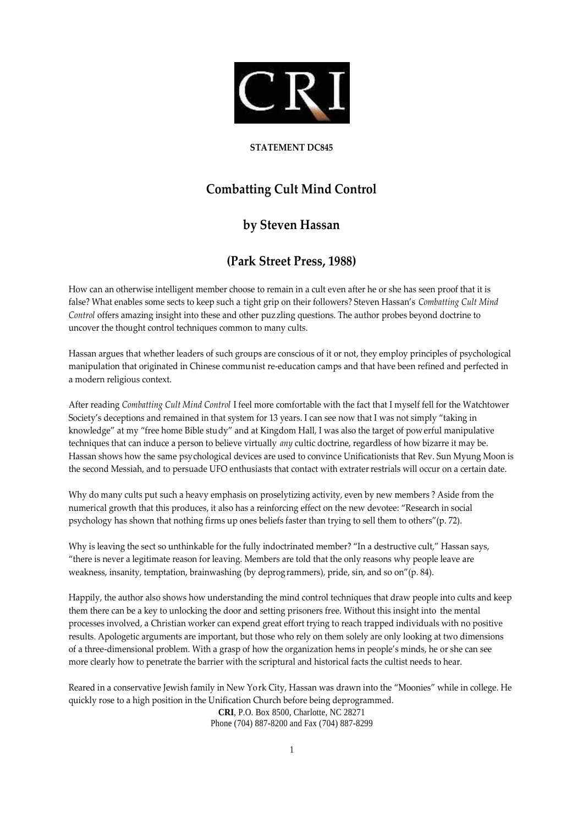

## **STATEMENT DC845**

## **Combatting Cult Mind Control**

## **by Steven Hassan**

## **(Park Street Press, 1988)**

How can an otherwise intelligent member choose to remain in a cult even after he or she has seen proof that it is false? What enables some sects to keep such a tight grip on their followers? Steven Hassan's *Combatting Cult Mind Control* offers amazing insight into these and other puzzling questions. The author probes beyond doctrine to uncover the thought control techniques common to many cults.

Hassan argues that whether leaders of such groups are conscious of it or not, they employ principles of psychological manipulation that originated in Chinese communist re-education camps and that have been refined and perfected in a modern religious context.

After reading *Combatting Cult Mind Control* I feel more comfortable with the fact that I myself fell for the Watchtower Society's deceptions and remained in that system for 13 years. I can see now that I was not simply "taking in knowledge" at my "free home Bible study" and at Kingdom Hall, I was also the target of powerful manipulative techniques that can induce a person to believe virtually *any* cultic doctrine, regardless of how bizarre it may be. Hassan shows how the same psychological devices are used to convince Unificationists that Rev. Sun Myung Moon is the second Messiah, and to persuade UFO enthusiasts that contact with extraterrestrials will occur on a certain date.

Why do many cults put such a heavy emphasis on proselytizing activity, even by new members ? Aside from the numerical growth that this produces, it also has a reinforcing effect on the new devotee: "Research in social psychology has shown that nothing firms up ones beliefs faster than trying to sell them to others"(p. 72).

Why is leaving the sect so unthinkable for the fully indoctrinated member? "In a destructive cult," Hassan says, "there is never a legitimate reason for leaving. Members are told that the only reasons why people leave are weakness, insanity, temptation, brainwashing (by deprogrammers), pride, sin, and so on"(p. 84).

Happily, the author also shows how understanding the mind control techniques that draw people into cults and keep them there can be a key to unlocking the door and setting prisoners free. Without this insight into the mental processes involved, a Christian worker can expend great effort trying to reach trapped individuals with no positive results. Apologetic arguments are important, but those who rely on them solely are only looking at two dimensions of a three-dimensional problem. With a grasp of how the organization hems in people's minds, he or she can see more clearly how to penetrate the barrier with the scriptural and historical facts the cultist needs to hear.

**CRI**, P.O. Box 8500, Charlotte, NC 28271 Reared in a conservative Jewish family in New York City, Hassan was drawn into the "Moonies" while in college. He quickly rose to a high position in the Unification Church before being deprogrammed.

Phone (704) 887-8200 and Fax (704) 887-8299